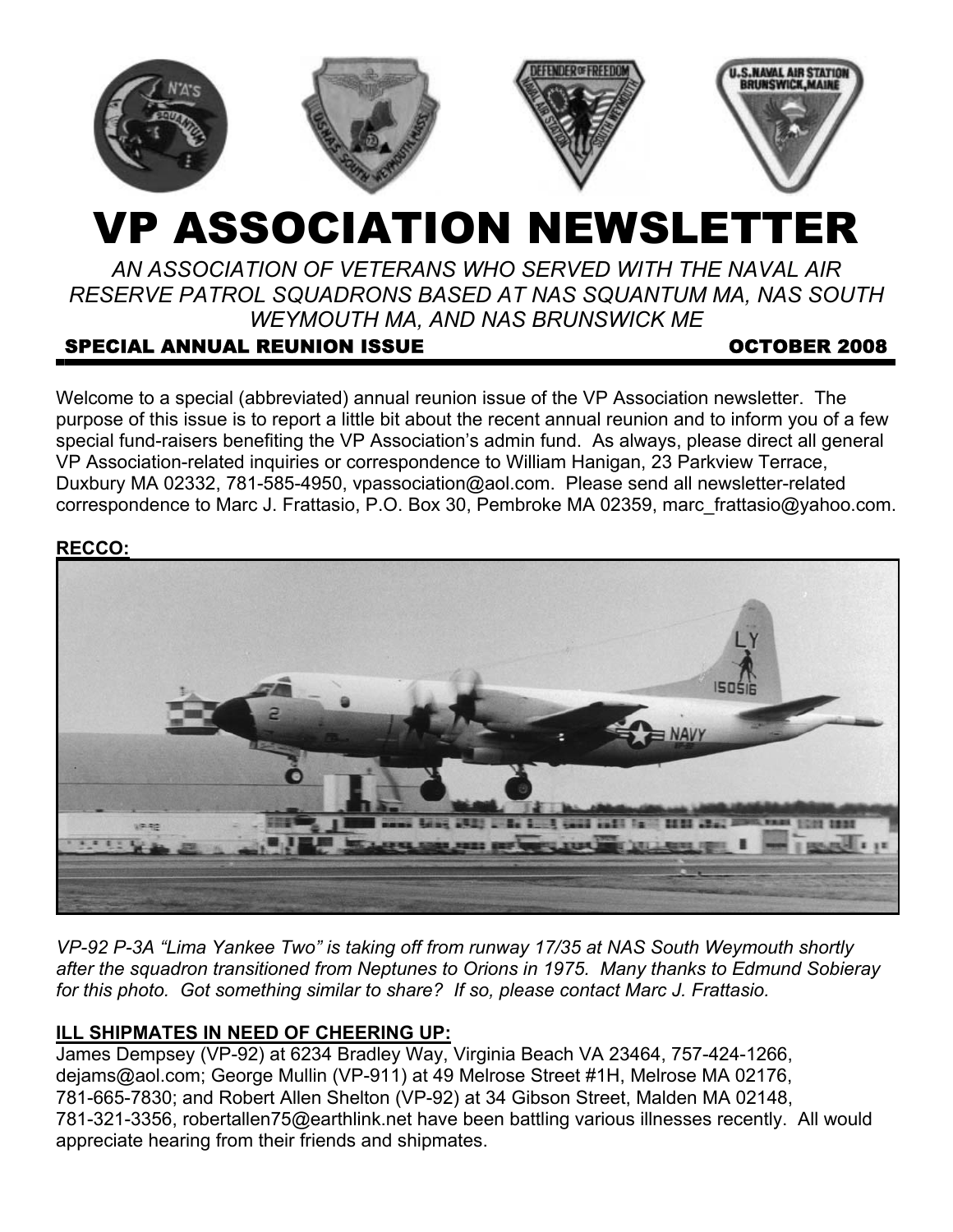

# VP ASSOCIATION NEWSLETTER

*AN ASSOCIATION OF VETERANS WHO SERVED WITH THE NAVAL AIR RESERVE PATROL SQUADRONS BASED AT NAS SQUANTUM MA, NAS SOUTH WEYMOUTH MA, AND NAS BRUNSWICK ME* 

# SPECIAL ANNUAL REUNION ISSUE **Example 2008** OCTOBER 2008

Welcome to a special (abbreviated) annual reunion issue of the VP Association newsletter. The purpose of this issue is to report a little bit about the recent annual reunion and to inform you of a few special fund-raisers benefiting the VP Association's admin fund. As always, please direct all general VP Association-related inquiries or correspondence to William Hanigan, 23 Parkview Terrace, Duxbury MA 02332, 781-585-4950, vpassociation@aol.com. Please send all newsletter-related correspondence to Marc J. Frattasio, P.O. Box 30, Pembroke MA 02359, marc\_frattasio@yahoo.com.

#### **RECCO:**



*VP-92 P-3A "Lima Yankee Two" is taking off from runway 17/35 at NAS South Weymouth shortly after the squadron transitioned from Neptunes to Orions in 1975. Many thanks to Edmund Sobieray for this photo. Got something similar to share? If so, please contact Marc J. Frattasio.*

## **ILL SHIPMATES IN NEED OF CHEERING UP:**

James Dempsey (VP-92) at 6234 Bradley Way, Virginia Beach VA 23464, 757-424-1266, dejams@aol.com; George Mullin (VP-911) at 49 Melrose Street #1H, Melrose MA 02176, 781-665-7830; and Robert Allen Shelton (VP-92) at 34 Gibson Street, Malden MA 02148, 781-321-3356, robertallen75@earthlink.net have been battling various illnesses recently. All would appreciate hearing from their friends and shipmates.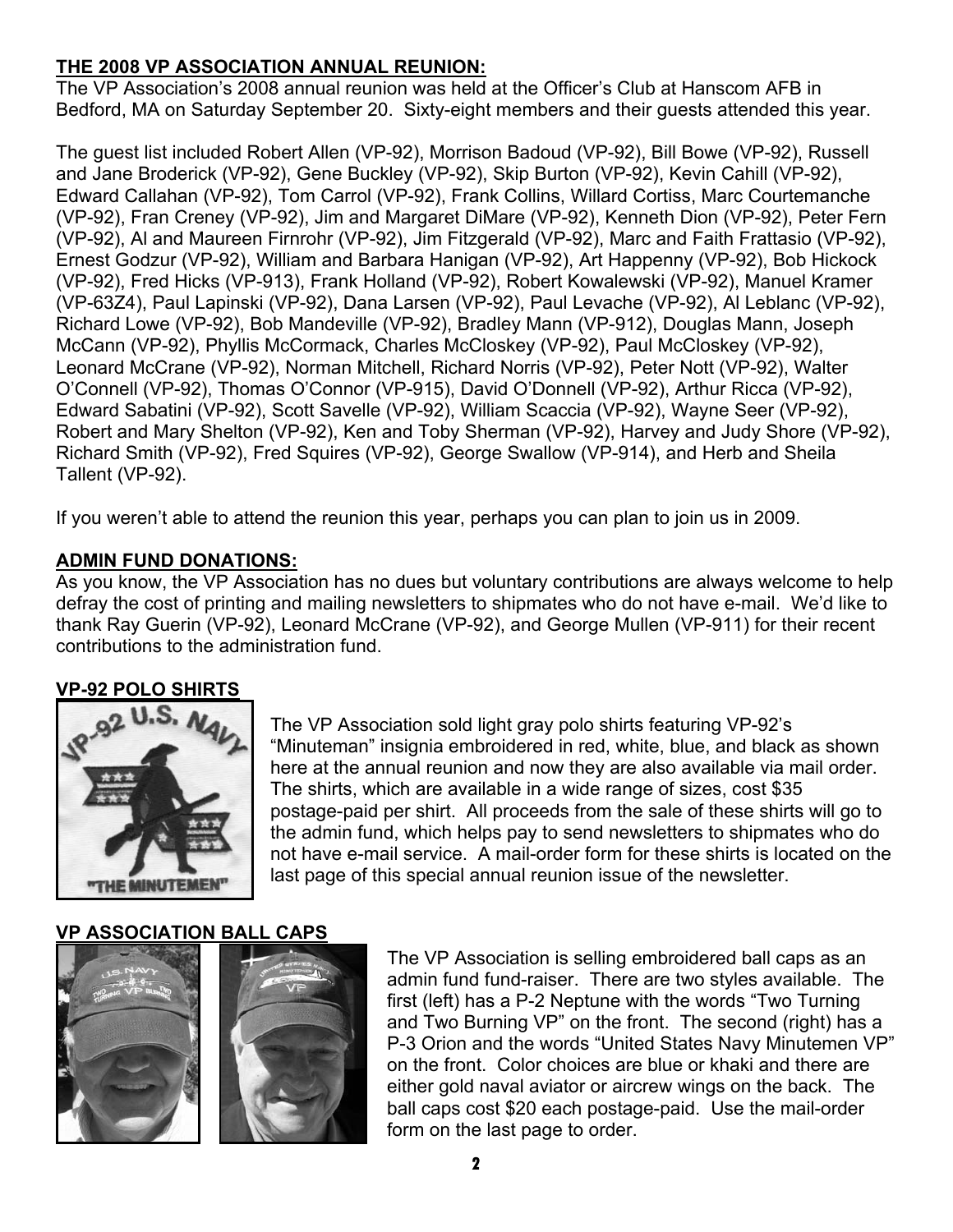## **THE 2008 VP ASSOCIATION ANNUAL REUNION:**

The VP Association's 2008 annual reunion was held at the Officer's Club at Hanscom AFB in Bedford, MA on Saturday September 20. Sixty-eight members and their guests attended this year.

The guest list included Robert Allen (VP-92), Morrison Badoud (VP-92), Bill Bowe (VP-92), Russell and Jane Broderick (VP-92), Gene Buckley (VP-92), Skip Burton (VP-92), Kevin Cahill (VP-92), Edward Callahan (VP-92), Tom Carrol (VP-92), Frank Collins, Willard Cortiss, Marc Courtemanche (VP-92), Fran Creney (VP-92), Jim and Margaret DiMare (VP-92), Kenneth Dion (VP-92), Peter Fern (VP-92), Al and Maureen Firnrohr (VP-92), Jim Fitzgerald (VP-92), Marc and Faith Frattasio (VP-92), Ernest Godzur (VP-92), William and Barbara Hanigan (VP-92), Art Happenny (VP-92), Bob Hickock (VP-92), Fred Hicks (VP-913), Frank Holland (VP-92), Robert Kowalewski (VP-92), Manuel Kramer (VP-63Z4), Paul Lapinski (VP-92), Dana Larsen (VP-92), Paul Levache (VP-92), Al Leblanc (VP-92), Richard Lowe (VP-92), Bob Mandeville (VP-92), Bradley Mann (VP-912), Douglas Mann, Joseph McCann (VP-92), Phyllis McCormack, Charles McCloskey (VP-92), Paul McCloskey (VP-92), Leonard McCrane (VP-92), Norman Mitchell, Richard Norris (VP-92), Peter Nott (VP-92), Walter O'Connell (VP-92), Thomas O'Connor (VP-915), David O'Donnell (VP-92), Arthur Ricca (VP-92), Edward Sabatini (VP-92), Scott Savelle (VP-92), William Scaccia (VP-92), Wayne Seer (VP-92), Robert and Mary Shelton (VP-92), Ken and Toby Sherman (VP-92), Harvey and Judy Shore (VP-92), Richard Smith (VP-92), Fred Squires (VP-92), George Swallow (VP-914), and Herb and Sheila Tallent (VP-92).

If you weren't able to attend the reunion this year, perhaps you can plan to join us in 2009.

## **ADMIN FUND DONATIONS:**

As you know, the VP Association has no dues but voluntary contributions are always welcome to help defray the cost of printing and mailing newsletters to shipmates who do not have e-mail. We'd like to thank Ray Guerin (VP-92), Leonard McCrane (VP-92), and George Mullen (VP-911) for their recent contributions to the administration fund.

## **VP-92 POLO SHIRTS**



The VP Association sold light gray polo shirts featuring VP-92's "Minuteman" insignia embroidered in red, white, blue, and black as shown here at the annual reunion and now they are also available via mail order. The shirts, which are available in a wide range of sizes, cost \$35 postage-paid per shirt. All proceeds from the sale of these shirts will go to the admin fund, which helps pay to send newsletters to shipmates who do not have e-mail service. A mail-order form for these shirts is located on the last page of this special annual reunion issue of the newsletter.

## **VP ASSOCIATION BALL CAPS**





The VP Association is selling embroidered ball caps as an admin fund fund-raiser. There are two styles available. The first (left) has a P-2 Neptune with the words "Two Turning and Two Burning VP" on the front. The second (right) has a P-3 Orion and the words "United States Navy Minutemen VP" on the front. Color choices are blue or khaki and there are either gold naval aviator or aircrew wings on the back. The ball caps cost \$20 each postage-paid. Use the mail-order form on the last page to order.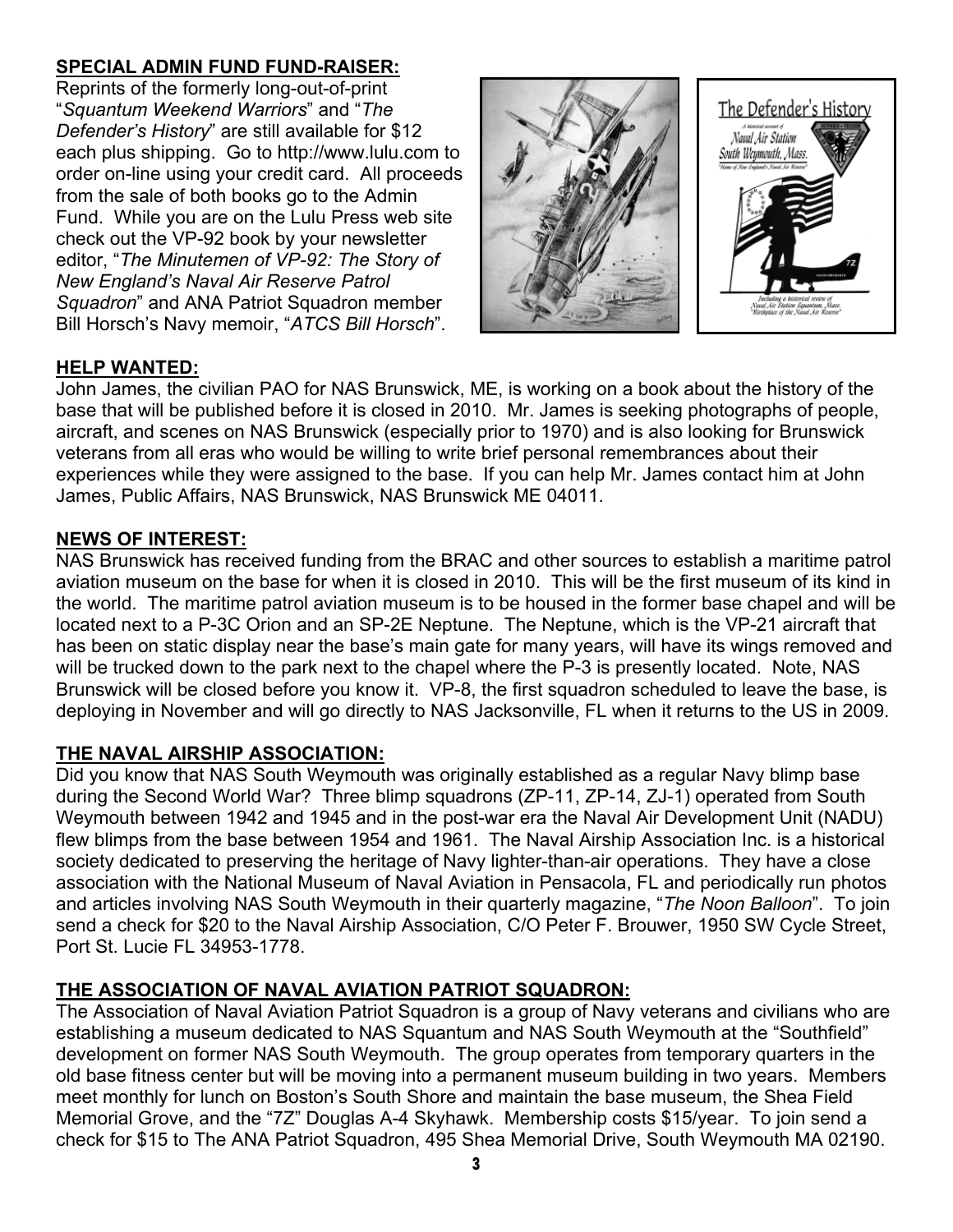# **SPECIAL ADMIN FUND FUND-RAISER:**

Reprints of the formerly long-out-of-print "*Squantum Weekend Warriors*" and "*The Defender's History*" are still available for \$12 each plus shipping. Go to http://www.lulu.com to order on-line using your credit card. All proceeds from the sale of both books go to the Admin Fund. While you are on the Lulu Press web site check out the VP-92 book by your newsletter editor, "*The Minutemen of VP-92: The Story of New England's Naval Air Reserve Patrol Squadron*" and ANA Patriot Squadron member Bill Horsch's Navy memoir, "*ATCS Bill Horsch*".



#### **HELP WANTED:**

John James, the civilian PAO for NAS Brunswick, ME, is working on a book about the history of the base that will be published before it is closed in 2010. Mr. James is seeking photographs of people, aircraft, and scenes on NAS Brunswick (especially prior to 1970) and is also looking for Brunswick veterans from all eras who would be willing to write brief personal remembrances about their experiences while they were assigned to the base. If you can help Mr. James contact him at John James, Public Affairs, NAS Brunswick, NAS Brunswick ME 04011.

#### **NEWS OF INTEREST:**

NAS Brunswick has received funding from the BRAC and other sources to establish a maritime patrol aviation museum on the base for when it is closed in 2010. This will be the first museum of its kind in the world. The maritime patrol aviation museum is to be housed in the former base chapel and will be located next to a P-3C Orion and an SP-2E Neptune. The Neptune, which is the VP-21 aircraft that has been on static display near the base's main gate for many years, will have its wings removed and will be trucked down to the park next to the chapel where the P-3 is presently located. Note, NAS Brunswick will be closed before you know it. VP-8, the first squadron scheduled to leave the base, is deploying in November and will go directly to NAS Jacksonville, FL when it returns to the US in 2009.

#### **THE NAVAL AIRSHIP ASSOCIATION:**

Did you know that NAS South Weymouth was originally established as a regular Navy blimp base during the Second World War? Three blimp squadrons (ZP-11, ZP-14, ZJ-1) operated from South Weymouth between 1942 and 1945 and in the post-war era the Naval Air Development Unit (NADU) flew blimps from the base between 1954 and 1961. The Naval Airship Association Inc. is a historical society dedicated to preserving the heritage of Navy lighter-than-air operations. They have a close association with the National Museum of Naval Aviation in Pensacola, FL and periodically run photos and articles involving NAS South Weymouth in their quarterly magazine, "*The Noon Balloon*". To join send a check for \$20 to the Naval Airship Association, C/O Peter F. Brouwer, 1950 SW Cycle Street, Port St. Lucie FL 34953-1778.

## **THE ASSOCIATION OF NAVAL AVIATION PATRIOT SQUADRON:**

The Association of Naval Aviation Patriot Squadron is a group of Navy veterans and civilians who are establishing a museum dedicated to NAS Squantum and NAS South Weymouth at the "Southfield" development on former NAS South Weymouth. The group operates from temporary quarters in the old base fitness center but will be moving into a permanent museum building in two years. Members meet monthly for lunch on Boston's South Shore and maintain the base museum, the Shea Field Memorial Grove, and the "7Z" Douglas A-4 Skyhawk. Membership costs \$15/year. To join send a check for \$15 to The ANA Patriot Squadron, 495 Shea Memorial Drive, South Weymouth MA 02190.